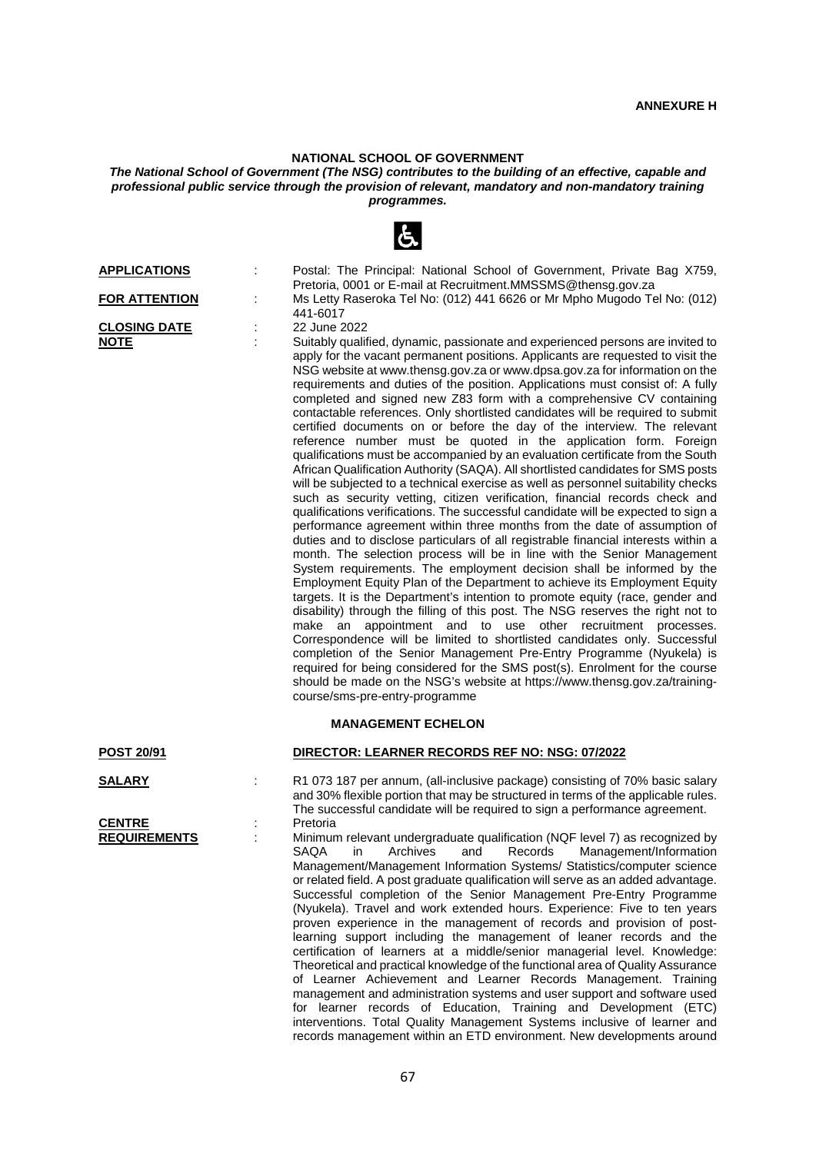# **NATIONAL SCHOOL OF GOVERNMENT**

# *The National School of Government (The NSG) contributes to the building of an effective, capable and professional public service through the provision of relevant, mandatory and non-mandatory training programmes.*

|                                    |   | $\sigma$                                                                                                                                                                                                                                                                                                                                                                                                                                                                                                                                                                                                                                                                                                                                                                                                                                                                                                                                                                                                                                                                                                                                                                                                                                                                                                                                                                                                                                                                                                                                                                                                                                                                                                                                                                                                                                                                                                                                                                                                                                                                               |
|------------------------------------|---|----------------------------------------------------------------------------------------------------------------------------------------------------------------------------------------------------------------------------------------------------------------------------------------------------------------------------------------------------------------------------------------------------------------------------------------------------------------------------------------------------------------------------------------------------------------------------------------------------------------------------------------------------------------------------------------------------------------------------------------------------------------------------------------------------------------------------------------------------------------------------------------------------------------------------------------------------------------------------------------------------------------------------------------------------------------------------------------------------------------------------------------------------------------------------------------------------------------------------------------------------------------------------------------------------------------------------------------------------------------------------------------------------------------------------------------------------------------------------------------------------------------------------------------------------------------------------------------------------------------------------------------------------------------------------------------------------------------------------------------------------------------------------------------------------------------------------------------------------------------------------------------------------------------------------------------------------------------------------------------------------------------------------------------------------------------------------------------|
| <b>APPLICATIONS</b>                | ÷ | Postal: The Principal: National School of Government, Private Bag X759,<br>Pretoria, 0001 or E-mail at Recruitment.MMSSMS@thensg.gov.za                                                                                                                                                                                                                                                                                                                                                                                                                                                                                                                                                                                                                                                                                                                                                                                                                                                                                                                                                                                                                                                                                                                                                                                                                                                                                                                                                                                                                                                                                                                                                                                                                                                                                                                                                                                                                                                                                                                                                |
| <b>FOR ATTENTION</b>               |   | Ms Letty Raseroka Tel No: (012) 441 6626 or Mr Mpho Mugodo Tel No: (012)<br>441-6017                                                                                                                                                                                                                                                                                                                                                                                                                                                                                                                                                                                                                                                                                                                                                                                                                                                                                                                                                                                                                                                                                                                                                                                                                                                                                                                                                                                                                                                                                                                                                                                                                                                                                                                                                                                                                                                                                                                                                                                                   |
| <b>CLOSING DATE</b><br><u>NOTE</u> |   | 22 June 2022<br>Suitably qualified, dynamic, passionate and experienced persons are invited to<br>apply for the vacant permanent positions. Applicants are requested to visit the<br>NSG website at www.thensg.gov.za or www.dpsa.gov.za for information on the<br>requirements and duties of the position. Applications must consist of: A fully<br>completed and signed new Z83 form with a comprehensive CV containing<br>contactable references. Only shortlisted candidates will be required to submit<br>certified documents on or before the day of the interview. The relevant<br>reference number must be quoted in the application form. Foreign<br>qualifications must be accompanied by an evaluation certificate from the South<br>African Qualification Authority (SAQA). All shortlisted candidates for SMS posts<br>will be subjected to a technical exercise as well as personnel suitability checks<br>such as security vetting, citizen verification, financial records check and<br>qualifications verifications. The successful candidate will be expected to sign a<br>performance agreement within three months from the date of assumption of<br>duties and to disclose particulars of all registrable financial interests within a<br>month. The selection process will be in line with the Senior Management<br>System requirements. The employment decision shall be informed by the<br>Employment Equity Plan of the Department to achieve its Employment Equity<br>targets. It is the Department's intention to promote equity (race, gender and<br>disability) through the filling of this post. The NSG reserves the right not to<br>appointment and to use other recruitment processes.<br>make an<br>Correspondence will be limited to shortlisted candidates only. Successful<br>completion of the Senior Management Pre-Entry Programme (Nyukela) is<br>required for being considered for the SMS post(s). Enrolment for the course<br>should be made on the NSG's website at https://www.thensg.gov.za/training-<br>course/sms-pre-entry-programme |
| <u>POST 20/91</u>                  |   | <b>MANAGEMENT ECHELON</b><br>DIRECTOR: LEARNER RECORDS REF NO: NSG: 07/2022                                                                                                                                                                                                                                                                                                                                                                                                                                                                                                                                                                                                                                                                                                                                                                                                                                                                                                                                                                                                                                                                                                                                                                                                                                                                                                                                                                                                                                                                                                                                                                                                                                                                                                                                                                                                                                                                                                                                                                                                            |
|                                    |   |                                                                                                                                                                                                                                                                                                                                                                                                                                                                                                                                                                                                                                                                                                                                                                                                                                                                                                                                                                                                                                                                                                                                                                                                                                                                                                                                                                                                                                                                                                                                                                                                                                                                                                                                                                                                                                                                                                                                                                                                                                                                                        |
| <b>SALARY</b><br><b>CENTRE</b>     |   | R1 073 187 per annum, (all-inclusive package) consisting of 70% basic salary<br>and 30% flexible portion that may be structured in terms of the applicable rules.<br>The successful candidate will be required to sign a performance agreement.                                                                                                                                                                                                                                                                                                                                                                                                                                                                                                                                                                                                                                                                                                                                                                                                                                                                                                                                                                                                                                                                                                                                                                                                                                                                                                                                                                                                                                                                                                                                                                                                                                                                                                                                                                                                                                        |
| <b>REQUIREMENTS</b>                |   | Pretoria<br>Minimum relevant undergraduate qualification (NQF level 7) as recognized by<br>SAQA in Archives and Records Management/Information<br>Management/Management Information Systems/ Statistics/computer science<br>or related field. A post graduate qualification will serve as an added advantage.<br>Successful completion of the Senior Management Pre-Entry Programme<br>(Nyukela). Travel and work extended hours. Experience: Five to ten years<br>proven experience in the management of records and provision of post-<br>learning support including the management of leaner records and the<br>certification of learners at a middle/senior managerial level. Knowledge:<br>Theoretical and practical knowledge of the functional area of Quality Assurance<br>of Learner Achievement and Learner Records Management. Training<br>management and administration systems and user support and software used<br>for learner records of Education, Training and Development (ETC)<br>interventions. Total Quality Management Systems inclusive of learner and<br>records management within an ETD environment. New developments around                                                                                                                                                                                                                                                                                                                                                                                                                                                                                                                                                                                                                                                                                                                                                                                                                                                                                                                                |



requirements and duties of the position. Applications must consist of: A fully completed and signed new Z83 form with a comprehensive CV containing contactable references. Only shortlisted candidates will be required to submit certified documents on or before the day of the interview. The relevant reference number must be quoted in the application form. Foreign qualifications must be accompanied by an evaluation certificate from the South African Qualification Authority (SAQA). All shortlisted candidates for SMS posts will be subjected to a technical exercise as well as personnel suitability checks such as security vetting, citizen verification, financial records check and qualifications verifications. The successful candidate will be expected to sign a performance agreement within three months from the date of assumption of duties and to disclose particulars of all registrable financial interests within a month. The selection process will be in line with the Senior Management System requirements. The employment decision shall be informed by the Employment Equity Plan of the Department to achieve its Employment Equity targets. It is the Department's intention to promote equity (race, gender and disability) through the filling of this post. The NSG reserves the right not to make an appointment and to use other recruitment processes. Correspondence will be limited to shortlisted candidates only. Successful completion of the Senior Management Pre-Entry Programme (Nyukela) is required for being considered for the SMS post(s). Enrolment for the course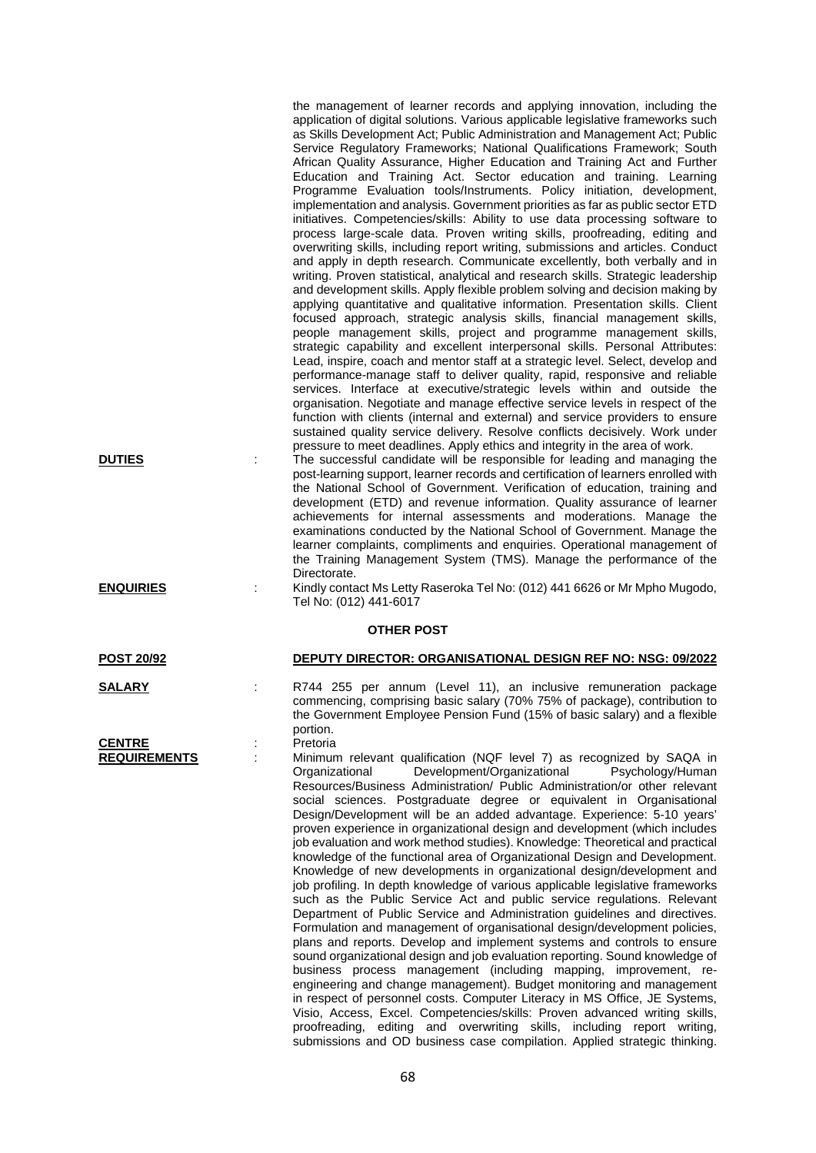the management of learner records and applying innovation, including the application of digital solutions. Various applicable legislative frameworks such as Skills Development Act; Public Administration and Management Act; Public Service Regulatory Frameworks; National Qualifications Framework; South African Quality Assurance, Higher Education and Training Act and Further Education and Training Act. Sector education and training. Learning Programme Evaluation tools/Instruments. Policy initiation, development, implementation and analysis. Government priorities as far as public sector ETD initiatives. Competencies/skills: Ability to use data processing software to process large-scale data. Proven writing skills, proofreading, editing and overwriting skills, including report writing, submissions and articles. Conduct and apply in depth research. Communicate excellently, both verbally and in writing. Proven statistical, analytical and research skills. Strategic leadership and development skills. Apply flexible problem solving and decision making by applying quantitative and qualitative information. Presentation skills. Client focused approach, strategic analysis skills, financial management skills, people management skills, project and programme management skills, strategic capability and excellent interpersonal skills. Personal Attributes: Lead, inspire, coach and mentor staff at a strategic level. Select, develop and performance-manage staff to deliver quality, rapid, responsive and reliable services. Interface at executive/strategic levels within and outside the organisation. Negotiate and manage effective service levels in respect of the function with clients (internal and external) and service providers to ensure sustained quality service delivery. Resolve conflicts decisively. Work under pressure to meet deadlines. Apply ethics and integrity in the area of work.

**DUTIES** : The successful candidate will be responsible for leading and managing the post-learning support, learner records and certification of learners enrolled with the National School of Government. Verification of education, training and development (ETD) and revenue information. Quality assurance of learner achievements for internal assessments and moderations. Manage the examinations conducted by the National School of Government. Manage the learner complaints, compliments and enquiries. Operational management of the Training Management System (TMS). Manage the performance of the Directorate.

**ENQUIRIES** : Kindly contact Ms Letty Raseroka Tel No: (012) 441 6626 or Mr Mpho Mugodo, Tel No: (012) 441-6017

## **OTHER POST**

## **POST 20/92 DEPUTY DIRECTOR: ORGANISATIONAL DESIGN REF NO: NSG: 09/2022**

**SALARY** : R744 255 per annum (Level 11), an inclusive remuneration package commencing, comprising basic salary (70% 75% of package), contribution to the Government Employee Pension Fund (15% of basic salary) and a flexible portion.<br>Pretoria

Minimum relevant qualification (NQF level 7) as recognized by SAQA in<br>Organizational Development/Organizational Psychology/Human Development/Organizational Resources/Business Administration/ Public Administration/or other relevant social sciences. Postgraduate degree or equivalent in Organisational Design/Development will be an added advantage. Experience: 5-10 years' proven experience in organizational design and development (which includes job evaluation and work method studies). Knowledge: Theoretical and practical knowledge of the functional area of Organizational Design and Development. Knowledge of new developments in organizational design/development and job profiling. In depth knowledge of various applicable legislative frameworks such as the Public Service Act and public service regulations. Relevant Department of Public Service and Administration guidelines and directives. Formulation and management of organisational design/development policies, plans and reports. Develop and implement systems and controls to ensure sound organizational design and job evaluation reporting. Sound knowledge of business process management (including mapping, improvement, reengineering and change management). Budget monitoring and management in respect of personnel costs. Computer Literacy in MS Office, JE Systems, Visio, Access, Excel. Competencies/skills: Proven advanced writing skills, proofreading, editing and overwriting skills, including report writing, submissions and OD business case compilation. Applied strategic thinking.

**CENTRE** :<br>REQUIREMENTS :